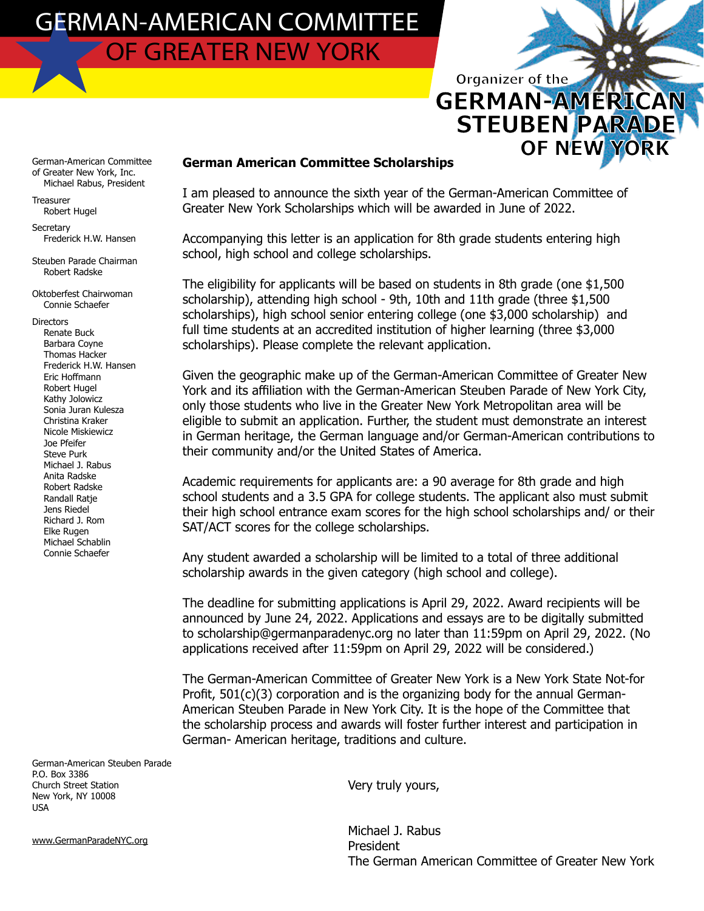German-American Committee of Greater New York, Inc. Michael Rabus, President

Treasurer Robert Hugel

**Secretary** Frederick H.W. Hansen

Steuben Parade Chairman Robert Radske

Oktoberfest Chairwoman Connie Schaefer

**Directors**  Renate Buck Barbara Coyne Thomas Hacker Frederick H.W. Hansen Eric Hoffmann Robert Hugel Kathy Jolowicz Sonia Juran Kulesza Christina Kraker Nicole Miskiewicz Joe Pfeifer Steve Purk Michael J. Rabus Anita Radske Robert Radske Randall Ratje Jens Riedel Richard J. Rom Elke Rugen Michael Schablin Connie Schaefer

German-American Steuben Parade P.O. Box 3386 Church Street Station New York, NY 10008 USA

www.GermanParadeNYC.org

#### **German American Committee Scholarships**

I am pleased to announce the sixth year of the German-American Committee of Greater New York Scholarships which will be awarded in June of 2022.

Organizer of the

**GERMAN-AMERIC** 

**STEUBEN PARAL** 

**OF NEW** 

Accompanying this letter is an application for 8th grade students entering high school, high school and college scholarships.

The eligibility for applicants will be based on students in 8th grade (one \$1,500 scholarship), attending high school - 9th, 10th and 11th grade (three \$1,500 scholarships), high school senior entering college (one \$3,000 scholarship) and full time students at an accredited institution of higher learning (three \$3,000 scholarships). Please complete the relevant application.

Given the geographic make up of the German-American Committee of Greater New York and its affiliation with the German-American Steuben Parade of New York City, only those students who live in the Greater New York Metropolitan area will be eligible to submit an application. Further, the student must demonstrate an interest in German heritage, the German language and/or German-American contributions to their community and/or the United States of America.

Academic requirements for applicants are: a 90 average for 8th grade and high school students and a 3.5 GPA for college students. The applicant also must submit their high school entrance exam scores for the high school scholarships and/ or their SAT/ACT scores for the college scholarships.

Any student awarded a scholarship will be limited to a total of three additional scholarship awards in the given category (high school and college).

The deadline for submitting applications is April 29, 2022. Award recipients will be announced by June 24, 2022. Applications and essays are to be digitally submitted to scholarship@germanparadenyc.org no later than 11:59pm on April 29, 2022. (No applications received after 11:59pm on April 29, 2022 will be considered.)

The German-American Committee of Greater New York is a New York State Not-for Profit,  $501(c)(3)$  corporation and is the organizing body for the annual German-American Steuben Parade in New York City. It is the hope of the Committee that the scholarship process and awards will foster further interest and participation in German- American heritage, traditions and culture.

Very truly yours,

 Michael J. Rabus President The German American Committee of Greater New York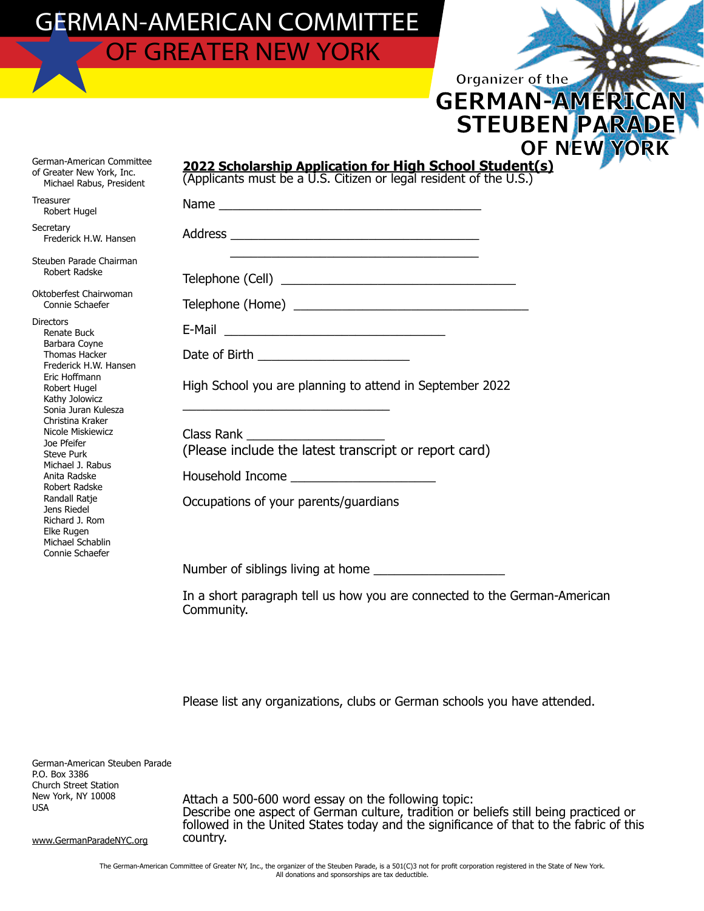|                                                                                                                                                                                                                                                                                                                                                                                                               | <b>OF NEW YOR</b>                                                                                                            |
|---------------------------------------------------------------------------------------------------------------------------------------------------------------------------------------------------------------------------------------------------------------------------------------------------------------------------------------------------------------------------------------------------------------|------------------------------------------------------------------------------------------------------------------------------|
| German-American Committee<br>of Greater New York, Inc.<br>Michael Rabus, President                                                                                                                                                                                                                                                                                                                            | 2022 Scholarship Application for High School Student(s)<br>(Applicants must be a U.S. Citizen or legal resident of the U.S.) |
| <b>Treasurer</b><br>Robert Hugel                                                                                                                                                                                                                                                                                                                                                                              |                                                                                                                              |
| Secretary<br>Frederick H.W. Hansen                                                                                                                                                                                                                                                                                                                                                                            |                                                                                                                              |
| Steuben Parade Chairman<br>Robert Radske                                                                                                                                                                                                                                                                                                                                                                      |                                                                                                                              |
| Oktoberfest Chairwoman<br>Connie Schaefer                                                                                                                                                                                                                                                                                                                                                                     |                                                                                                                              |
| <b>Directors</b><br>Renate Buck<br>Barbara Coyne<br>Thomas Hacker<br>Frederick H.W. Hansen<br>Eric Hoffmann<br>Robert Hugel<br>Kathy Jolowicz<br>Sonia Juran Kulesza<br>Christina Kraker<br>Nicole Miskiewicz<br>Joe Pfeifer<br><b>Steve Purk</b><br>Michael J. Rabus<br>Anita Radske<br>Robert Radske<br>Randall Ratje<br>Jens Riedel<br>Richard J. Rom<br>Elke Rugen<br>Michael Schablin<br>Connie Schaefer |                                                                                                                              |
|                                                                                                                                                                                                                                                                                                                                                                                                               | Date of Birth _________________________                                                                                      |
|                                                                                                                                                                                                                                                                                                                                                                                                               | High School you are planning to attend in September 2022                                                                     |
|                                                                                                                                                                                                                                                                                                                                                                                                               | Class Rank ________________________                                                                                          |
|                                                                                                                                                                                                                                                                                                                                                                                                               | (Please include the latest transcript or report card)                                                                        |
|                                                                                                                                                                                                                                                                                                                                                                                                               |                                                                                                                              |
|                                                                                                                                                                                                                                                                                                                                                                                                               | Occupations of your parents/quardians                                                                                        |
|                                                                                                                                                                                                                                                                                                                                                                                                               |                                                                                                                              |
|                                                                                                                                                                                                                                                                                                                                                                                                               | In a short paragraph tell us how you are connected to the German-American<br>Community.                                      |

Organizer of the

**GERMAN-AMERI** 

**STEUBEN PARA** 

Please list any organizations, clubs or German schools you have attended.

German-American Steuben Parade P.O. Box 3386 Church Street Station New York, NY 10008 USA

www.GermanParadeNYC.org

Attach a 500-600 word essay on the following topic: Describe one aspect of German culture, tradition or beliefs still being practiced or followed in the United States today and the significance of that to the fabric of this country.

The German-American Committee of Greater NY, Inc., the organizer of the Steuben Parade, is a 501(C)3 not for profit corporation registered in the State of New York. All donations and sponsorships are tax deductible.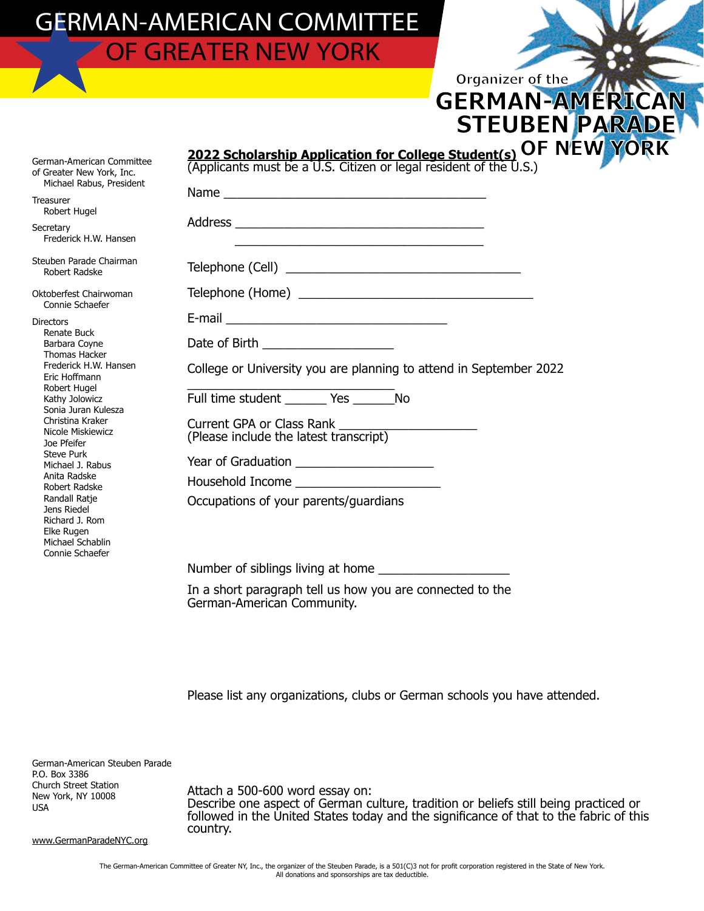|                                                                                                                                                                                                                                                                                                                                                                                                               | <b>STEUBEN PARA</b>                                                                                                                |
|---------------------------------------------------------------------------------------------------------------------------------------------------------------------------------------------------------------------------------------------------------------------------------------------------------------------------------------------------------------------------------------------------------------|------------------------------------------------------------------------------------------------------------------------------------|
| German-American Committee<br>of Greater New York, Inc.<br>Michael Rabus, President                                                                                                                                                                                                                                                                                                                            | 2022 Scholarship Application for College Student(s) OF NEW YO<br>(Applicants must be a U.S. Citizen or legal resident of the U.S.) |
| Treasurer<br>Robert Hugel<br>Secretary<br>Frederick H.W. Hansen                                                                                                                                                                                                                                                                                                                                               | Name                                                                                                                               |
| Steuben Parade Chairman<br>Robert Radske                                                                                                                                                                                                                                                                                                                                                                      |                                                                                                                                    |
| Oktoberfest Chairwoman<br>Connie Schaefer                                                                                                                                                                                                                                                                                                                                                                     |                                                                                                                                    |
| <b>Directors</b><br>Renate Buck<br>Barbara Coyne<br>Thomas Hacker<br>Frederick H.W. Hansen<br>Eric Hoffmann<br>Robert Hugel<br>Kathy Jolowicz<br>Sonia Juran Kulesza<br>Christina Kraker<br>Nicole Miskiewicz<br>Joe Pfeifer<br><b>Steve Purk</b><br>Michael J. Rabus<br>Anita Radske<br>Robert Radske<br>Randall Ratje<br>Jens Riedel<br>Richard J. Rom<br>Elke Rugen<br>Michael Schablin<br>Connie Schaefer | Date of Birth _____________________                                                                                                |
|                                                                                                                                                                                                                                                                                                                                                                                                               | College or University you are planning to attend in September 2022<br>Full time student _________ Yes __________ No                |
|                                                                                                                                                                                                                                                                                                                                                                                                               |                                                                                                                                    |
|                                                                                                                                                                                                                                                                                                                                                                                                               | Year of Graduation _________________________                                                                                       |
|                                                                                                                                                                                                                                                                                                                                                                                                               |                                                                                                                                    |
|                                                                                                                                                                                                                                                                                                                                                                                                               | Occupations of your parents/quardians                                                                                              |
|                                                                                                                                                                                                                                                                                                                                                                                                               |                                                                                                                                    |
|                                                                                                                                                                                                                                                                                                                                                                                                               | In a short paragraph tell us how you are connected to the                                                                          |

German-American Community.

Please list any organizations, clubs or German schools you have attended.

German-American Steuben Parade P.O. Box 3386 Church Street Station New York, NY 10008 USA

Attach a 500-600 word essay on: Describe one aspect of German culture, tradition or beliefs still being practiced or followed in the United States today and the significance of that to the fabric of this country.

Organizer of the

**GERMAN-AMERI** 

www.GermanParadeNYC.org